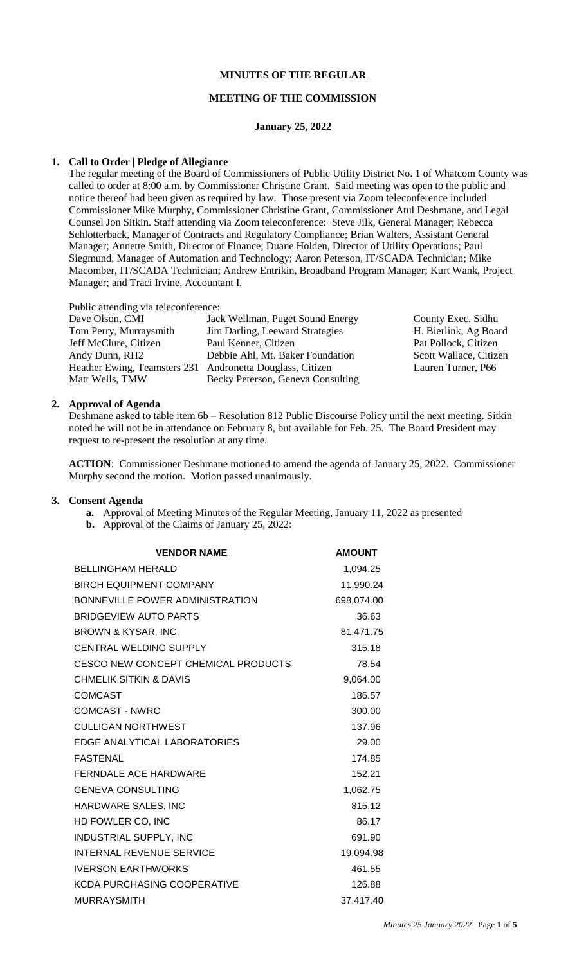# **MINUTES OF THE REGULAR**

#### **MEETING OF THE COMMISSION**

#### **January 25, 2022**

#### **1. Call to Order | Pledge of Allegiance**

The regular meeting of the Board of Commissioners of Public Utility District No. 1 of Whatcom County was called to order at 8:00 a.m. by Commissioner Christine Grant. Said meeting was open to the public and notice thereof had been given as required by law. Those present via Zoom teleconference included Commissioner Mike Murphy, Commissioner Christine Grant, Commissioner Atul Deshmane, and Legal Counsel Jon Sitkin. Staff attending via Zoom teleconference: Steve Jilk, General Manager; Rebecca Schlotterback, Manager of Contracts and Regulatory Compliance; Brian Walters, Assistant General Manager; Annette Smith, Director of Finance; Duane Holden, Director of Utility Operations; Paul Siegmund, Manager of Automation and Technology; Aaron Peterson, IT/SCADA Technician; Mike Macomber, IT/SCADA Technician; Andrew Entrikin, Broadband Program Manager; Kurt Wank, Project Manager; and Traci Irvine, Accountant I.

Public attending via teleconference:

| Dave Olson, CMI                                           | Jack Wellman, Puget Sound Energy  | County Exec. Sidhu     |
|-----------------------------------------------------------|-----------------------------------|------------------------|
| Tom Perry, Murraysmith                                    | Jim Darling, Leeward Strategies   | H. Bierlink, Ag Board  |
| Jeff McClure, Citizen                                     | Paul Kenner, Citizen              | Pat Pollock, Citizen   |
| Andy Dunn, RH2                                            | Debbie Ahl, Mt. Baker Foundation  | Scott Wallace, Citizen |
| Heather Ewing, Teamsters 231 Andronetta Douglass, Citizen |                                   | Lauren Turner, P66     |
| Matt Wells, TMW                                           | Becky Peterson, Geneva Consulting |                        |

### **2. Approval of Agenda**

Deshmane asked to table item 6b – Resolution 812 Public Discourse Policy until the next meeting. Sitkin noted he will not be in attendance on February 8, but available for Feb. 25. The Board President may request to re-present the resolution at any time.

**ACTION**: Commissioner Deshmane motioned to amend the agenda of January 25, 2022. Commissioner Murphy second the motion. Motion passed unanimously.

#### **3. Consent Agenda**

- **a.** Approval of Meeting Minutes of the Regular Meeting, January 11, 2022 as presented
- **b.** Approval of the Claims of January 25, 2022:

| <b>VENDOR NAME</b>                         | <b>AMOUNT</b> |
|--------------------------------------------|---------------|
| <b>BELLINGHAM HERALD</b>                   | 1,094.25      |
| <b>BIRCH EQUIPMENT COMPANY</b>             | 11,990.24     |
| <b>BONNEVILLE POWER ADMINISTRATION</b>     | 698,074.00    |
| BRIDGEVIEW AUTO PARTS                      | 36.63         |
| BROWN & KYSAR, INC.                        | 81,471.75     |
| <b>CENTRAL WELDING SUPPLY</b>              | 315.18        |
| <b>CESCO NEW CONCEPT CHEMICAL PRODUCTS</b> | 78.54         |
| CHMELIK SITKIN & DAVIS                     | 9,064.00      |
| <b>COMCAST</b>                             | 186.57        |
| COMCAST - NWRC                             | 300.00        |
| <b>CULLIGAN NORTHWEST</b>                  | 137.96        |
| EDGE ANALYTICAL LABORATORIES               | 29.00         |
| <b>FASTENAL</b>                            | 174.85        |
| <b>FERNDALE ACE HARDWARE</b>               | 152.21        |
| <b>GENEVA CONSULTING</b>                   | 1,062.75      |
| HARDWARE SALES, INC                        | 815.12        |
| HD FOWLER CO, INC                          | 86.17         |
| <b>INDUSTRIAL SUPPLY, INC</b>              | 691.90        |
| <b>INTERNAL REVENUE SERVICE</b>            | 19,094.98     |
| <b>IVERSON EARTHWORKS</b>                  | 461.55        |
| KCDA PURCHASING COOPERATIVE                | 126.88        |
| <b>MURRAYSMITH</b>                         | 37,417.40     |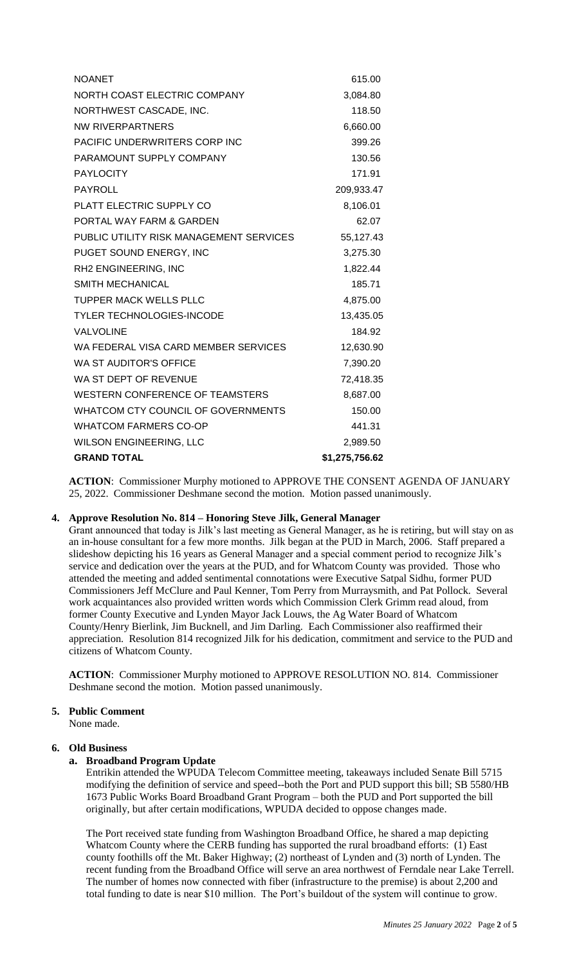| <b>NOANET</b>                           | 615.00         |
|-----------------------------------------|----------------|
| NORTH COAST ELECTRIC COMPANY            | 3,084.80       |
| NORTHWEST CASCADE, INC.                 | 118.50         |
| <b>NW RIVERPARTNERS</b>                 | 6,660.00       |
| PACIFIC UNDERWRITERS CORP INC           | 399.26         |
| PARAMOUNT SUPPLY COMPANY                | 130.56         |
| <b>PAYLOCITY</b>                        | 171.91         |
| PAYROLL                                 | 209,933.47     |
| PLATT ELECTRIC SUPPLY CO                | 8,106.01       |
| PORTAL WAY FARM & GARDEN                | 62.07          |
| PUBLIC UTILITY RISK MANAGEMENT SERVICES | 55,127.43      |
| PUGET SOUND ENERGY, INC                 | 3,275.30       |
| RH2 ENGINEERING, INC                    | 1,822.44       |
| <b>SMITH MECHANICAL</b>                 | 185.71         |
| <b>TUPPER MACK WELLS PLLC</b>           | 4,875.00       |
| <b>TYLER TECHNOLOGIES-INCODE</b>        | 13,435.05      |
| <b>VALVOLINE</b>                        | 184.92         |
| WA FEDERAL VISA CARD MEMBER SERVICES    | 12,630.90      |
| WA ST AUDITOR'S OFFICE                  | 7,390.20       |
| WA ST DEPT OF REVENUE                   | 72,418.35      |
| <b>WESTERN CONFERENCE OF TEAMSTERS</b>  | 8,687.00       |
| WHATCOM CTY COUNCIL OF GOVERNMENTS      | 150.00         |
| <b>WHATCOM FARMERS CO-OP</b>            | 441.31         |
| <b>WILSON ENGINEERING, LLC</b>          | 2,989.50       |
| <b>GRAND TOTAL</b>                      | \$1,275,756.62 |

**ACTION**: Commissioner Murphy motioned to APPROVE THE CONSENT AGENDA OF JANUARY 25, 2022. Commissioner Deshmane second the motion. Motion passed unanimously.

# **4. Approve Resolution No. 814 – Honoring Steve Jilk, General Manager**

Grant announced that today is Jilk's last meeting as General Manager, as he is retiring, but will stay on as an in-house consultant for a few more months. Jilk began at the PUD in March, 2006. Staff prepared a slideshow depicting his 16 years as General Manager and a special comment period to recognize Jilk's service and dedication over the years at the PUD, and for Whatcom County was provided. Those who attended the meeting and added sentimental connotations were Executive Satpal Sidhu, former PUD Commissioners Jeff McClure and Paul Kenner, Tom Perry from Murraysmith, and Pat Pollock. Several work acquaintances also provided written words which Commission Clerk Grimm read aloud, from former County Executive and Lynden Mayor Jack Louws, the Ag Water Board of Whatcom County/Henry Bierlink, Jim Bucknell, and Jim Darling. Each Commissioner also reaffirmed their appreciation. Resolution 814 recognized Jilk for his dedication, commitment and service to the PUD and citizens of Whatcom County.

**ACTION**: Commissioner Murphy motioned to APPROVE RESOLUTION NO. 814. Commissioner Deshmane second the motion. Motion passed unanimously.

### **5. Public Comment**

None made.

### **6. Old Business**

# **a. Broadband Program Update**

Entrikin attended the WPUDA Telecom Committee meeting, takeaways included Senate Bill 5715 modifying the definition of service and speed--both the Port and PUD support this bill; SB 5580/HB 1673 Public Works Board Broadband Grant Program – both the PUD and Port supported the bill originally, but after certain modifications, WPUDA decided to oppose changes made.

The Port received state funding from Washington Broadband Office, he shared a map depicting Whatcom County where the CERB funding has supported the rural broadband efforts: (1) East county foothills off the Mt. Baker Highway; (2) northeast of Lynden and (3) north of Lynden. The recent funding from the Broadband Office will serve an area northwest of Ferndale near Lake Terrell. The number of homes now connected with fiber (infrastructure to the premise) is about 2,200 and total funding to date is near \$10 million. The Port's buildout of the system will continue to grow.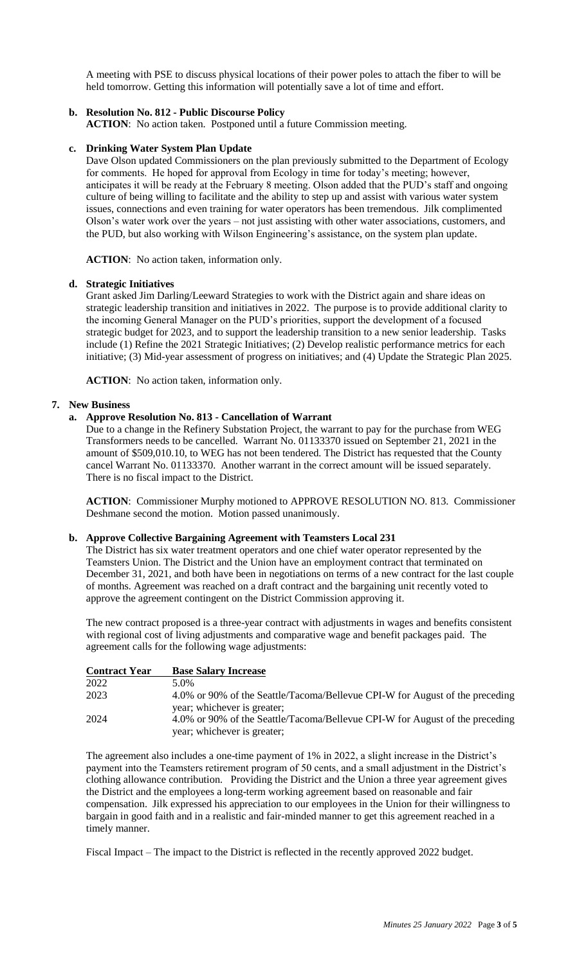A meeting with PSE to discuss physical locations of their power poles to attach the fiber to will be held tomorrow. Getting this information will potentially save a lot of time and effort.

# **b. Resolution No. 812 - Public Discourse Policy**

**ACTION**: No action taken. Postponed until a future Commission meeting.

#### **c. Drinking Water System Plan Update**

Dave Olson updated Commissioners on the plan previously submitted to the Department of Ecology for comments. He hoped for approval from Ecology in time for today's meeting; however, anticipates it will be ready at the February 8 meeting. Olson added that the PUD's staff and ongoing culture of being willing to facilitate and the ability to step up and assist with various water system issues, connections and even training for water operators has been tremendous. Jilk complimented Olson's water work over the years – not just assisting with other water associations, customers, and the PUD, but also working with Wilson Engineering's assistance, on the system plan update.

**ACTION**: No action taken, information only.

#### **d. Strategic Initiatives**

Grant asked Jim Darling/Leeward Strategies to work with the District again and share ideas on strategic leadership transition and initiatives in 2022. The purpose is to provide additional clarity to the incoming General Manager on the PUD's priorities, support the development of a focused strategic budget for 2023, and to support the leadership transition to a new senior leadership. Tasks include (1) Refine the 2021 Strategic Initiatives; (2) Develop realistic performance metrics for each initiative; (3) Mid-year assessment of progress on initiatives; and (4) Update the Strategic Plan 2025.

**ACTION**: No action taken, information only.

#### **7. New Business**

### **a. Approve Resolution No. 813 - Cancellation of Warrant**

Due to a change in the Refinery Substation Project, the warrant to pay for the purchase from WEG Transformers needs to be cancelled. Warrant No. 01133370 issued on September 21, 2021 in the amount of \$509,010.10, to WEG has not been tendered. The District has requested that the County cancel Warrant No. 01133370. Another warrant in the correct amount will be issued separately. There is no fiscal impact to the District.

**ACTION**: Commissioner Murphy motioned to APPROVE RESOLUTION NO. 813. Commissioner Deshmane second the motion. Motion passed unanimously.

### **b. Approve Collective Bargaining Agreement with Teamsters Local 231**

The District has six water treatment operators and one chief water operator represented by the Teamsters Union. The District and the Union have an employment contract that terminated on December 31, 2021, and both have been in negotiations on terms of a new contract for the last couple of months. Agreement was reached on a draft contract and the bargaining unit recently voted to approve the agreement contingent on the District Commission approving it.

The new contract proposed is a three-year contract with adjustments in wages and benefits consistent with regional cost of living adjustments and comparative wage and benefit packages paid. The agreement calls for the following wage adjustments:

| <b>Contract Year</b> | <b>Base Salary Increase</b>                                                                                 |
|----------------------|-------------------------------------------------------------------------------------------------------------|
| 2022                 | 5.0%                                                                                                        |
| 2023                 | 4.0% or 90% of the Seattle/Tacoma/Bellevue CPI-W for August of the preceding<br>year; whichever is greater; |
| 2024                 | 4.0% or 90% of the Seattle/Tacoma/Bellevue CPI-W for August of the preceding<br>year; whichever is greater; |

The agreement also includes a one-time payment of 1% in 2022, a slight increase in the District's payment into the Teamsters retirement program of 50 cents, and a small adjustment in the District's clothing allowance contribution. Providing the District and the Union a three year agreement gives the District and the employees a long-term working agreement based on reasonable and fair compensation. Jilk expressed his appreciation to our employees in the Union for their willingness to bargain in good faith and in a realistic and fair-minded manner to get this agreement reached in a timely manner.

Fiscal Impact – The impact to the District is reflected in the recently approved 2022 budget.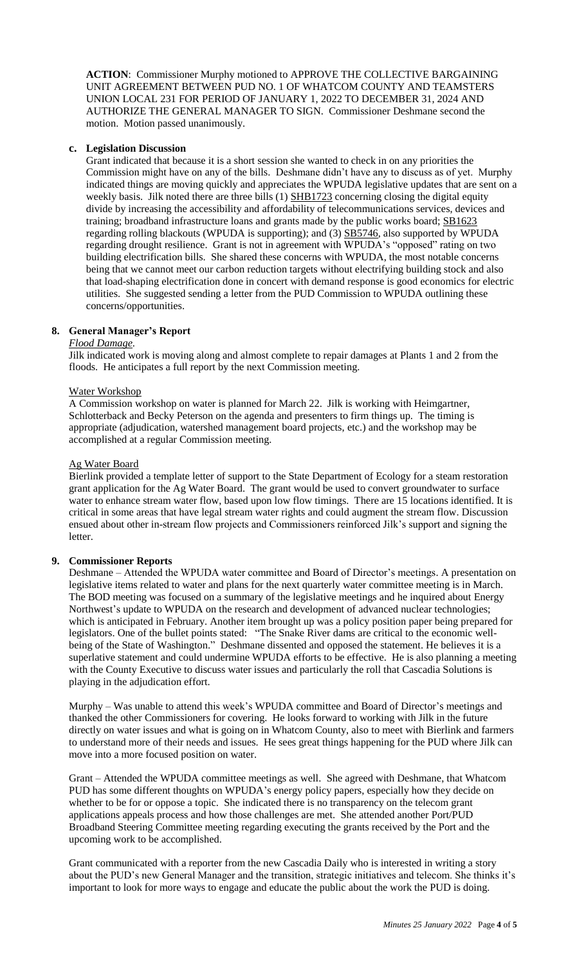**ACTION**: Commissioner Murphy motioned to APPROVE THE COLLECTIVE BARGAINING UNIT AGREEMENT BETWEEN PUD NO. 1 OF WHATCOM COUNTY AND TEAMSTERS UNION LOCAL 231 FOR PERIOD OF JANUARY 1, 2022 TO DECEMBER 31, 2024 AND AUTHORIZE THE GENERAL MANAGER TO SIGN. Commissioner Deshmane second the motion. Motion passed unanimously.

### **c. Legislation Discussion**

Grant indicated that because it is a short session she wanted to check in on any priorities the Commission might have on any of the bills. Deshmane didn't have any to discuss as of yet. Murphy indicated things are moving quickly and appreciates the WPUDA legislative updates that are sent on a weekly basis. Jilk noted there are three bills (1) SHB1723 concerning closing the digital equity divide by increasing the accessibility and affordability of telecommunications services, devices and training; broadband infrastructure loans and grants made by the public works board; SB1623 regarding rolling blackouts (WPUDA is supporting); and (3) **SB5746**, also supported by WPUDA regarding drought resilience. Grant is not in agreement with WPUDA's "opposed" rating on two building electrification bills. She shared these concerns with WPUDA, the most notable concerns being that we cannot meet our carbon reduction targets without electrifying building stock and also that load-shaping electrification done in concert with demand response is good economics for electric utilities. She suggested sending a letter from the PUD Commission to WPUDA outlining these concerns/opportunities.

#### **8. General Manager's Report**

### *Flood Damage*.

Jilk indicated work is moving along and almost complete to repair damages at Plants 1 and 2 from the floods. He anticipates a full report by the next Commission meeting.

#### Water Workshop

A Commission workshop on water is planned for March 22. Jilk is working with Heimgartner, Schlotterback and Becky Peterson on the agenda and presenters to firm things up. The timing is appropriate (adjudication, watershed management board projects, etc.) and the workshop may be accomplished at a regular Commission meeting.

#### Ag Water Board

Bierlink provided a template letter of support to the State Department of Ecology for a steam restoration grant application for the Ag Water Board. The grant would be used to convert groundwater to surface water to enhance stream water flow, based upon low flow timings. There are 15 locations identified. It is critical in some areas that have legal stream water rights and could augment the stream flow. Discussion ensued about other in-stream flow projects and Commissioners reinforced Jilk's support and signing the letter.

#### **9. Commissioner Reports**

Deshmane – Attended the WPUDA water committee and Board of Director's meetings. A presentation on legislative items related to water and plans for the next quarterly water committee meeting is in March. The BOD meeting was focused on a summary of the legislative meetings and he inquired about Energy Northwest's update to WPUDA on the research and development of advanced nuclear technologies; which is anticipated in February. Another item brought up was a policy position paper being prepared for legislators. One of the bullet points stated: "The Snake River dams are critical to the economic wellbeing of the State of Washington." Deshmane dissented and opposed the statement. He believes it is a superlative statement and could undermine WPUDA efforts to be effective. He is also planning a meeting with the County Executive to discuss water issues and particularly the roll that Cascadia Solutions is playing in the adjudication effort.

Murphy – Was unable to attend this week's WPUDA committee and Board of Director's meetings and thanked the other Commissioners for covering. He looks forward to working with Jilk in the future directly on water issues and what is going on in Whatcom County, also to meet with Bierlink and farmers to understand more of their needs and issues. He sees great things happening for the PUD where Jilk can move into a more focused position on water.

Grant – Attended the WPUDA committee meetings as well. She agreed with Deshmane, that Whatcom PUD has some different thoughts on WPUDA's energy policy papers, especially how they decide on whether to be for or oppose a topic. She indicated there is no transparency on the telecom grant applications appeals process and how those challenges are met. She attended another Port/PUD Broadband Steering Committee meeting regarding executing the grants received by the Port and the upcoming work to be accomplished.

Grant communicated with a reporter from the new Cascadia Daily who is interested in writing a story about the PUD's new General Manager and the transition, strategic initiatives and telecom. She thinks it's important to look for more ways to engage and educate the public about the work the PUD is doing.